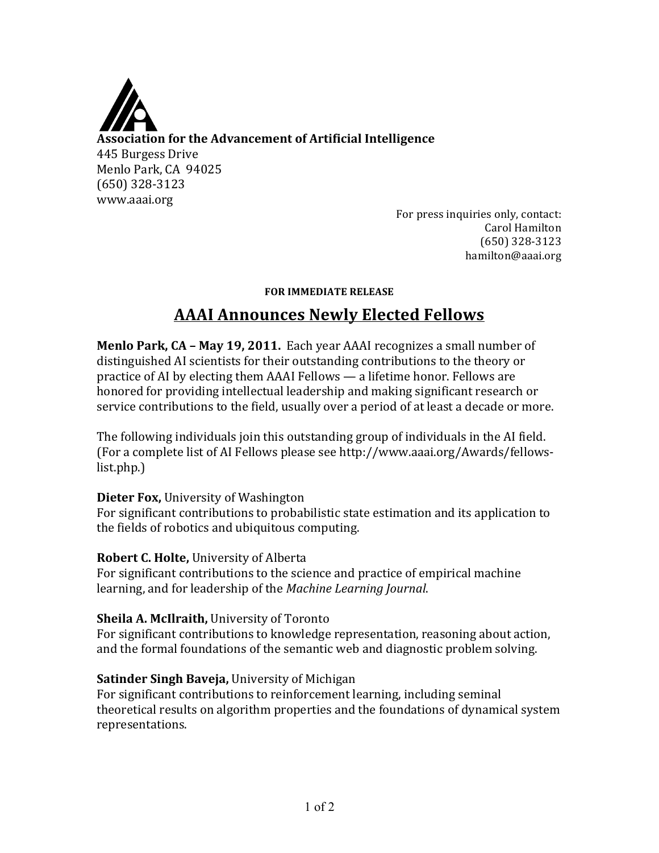

**Association)for)the)Advancement)of)Artificial)Intelligence**

445 Burgess Drive Menlo Park, CA 94025 (650) 328-3123 www.aaai.org

> For press inquiries only, contact: Carol Hamilton (650) 328-3123 hamilton@aaai.org

#### **FOR IMMEDIATE RELEASE**

# **AAAI Announces Newly Elected Fellows**

**Menlo Park, CA - May 19, 2011.** Each year AAAI recognizes a small number of distinguished AI scientists for their outstanding contributions to the theory or practice of AI by electing them AAAI Fellows  $-$  a lifetime honor. Fellows are honored for providing intellectual leadership and making significant research or service contributions to the field, usually over a period of at least a decade or more.

The following individuals join this outstanding group of individuals in the AI field. (For a complete list of AI Fellows please see http://www.aaai.org/Awards/fellowslist.php.)

### **Dieter Fox, University of Washington**

For significant contributions to probabilistic state estimation and its application to the fields of robotics and ubiquitous computing.

### **Robert C. Holte, University of Alberta**

For significant contributions to the science and practice of empirical machine learning, and for leadership of the *Machine Learning Journal*.

### **Sheila A. McIlraith, University of Toronto**

For significant contributions to knowledge representation, reasoning about action, and the formal foundations of the semantic web and diagnostic problem solving.

## **Satinder Singh Baveja, University of Michigan**

For significant contributions to reinforcement learning, including seminal theoretical results on algorithm properties and the foundations of dynamical system representations.